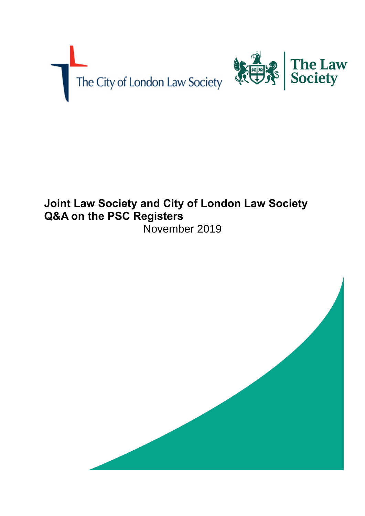



# **Joint Law Society and City of London Law Society Q&A on the PSC Registers** November 2019

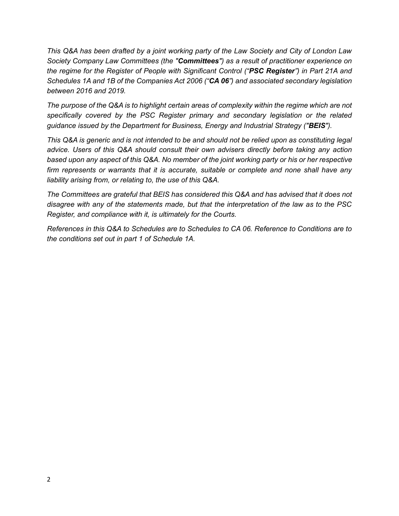*This Q&A has been drafted by a joint working party of the Law Society and City of London Law Society Company Law Committees (the "Committees") as a result of practitioner experience on the regime for the Register of People with Significant Control ("PSC Register") in Part 21A and Schedules 1A and 1B of the Companies Act 2006 ("CA 06") and associated secondary legislation between 2016 and 2019.* 

*The purpose of the Q&A is to highlight certain areas of complexity within the regime which are not specifically covered by the PSC Register primary and secondary legislation or the related guidance issued by the Department for Business, Energy and Industrial Strategy ("BEIS").*

*This Q&A is generic and is not intended to be and should not be relied upon as constituting legal advice. Users of this Q&A should consult their own advisers directly before taking any action based upon any aspect of this Q&A. No member of the joint working party or his or her respective firm represents or warrants that it is accurate, suitable or complete and none shall have any liability arising from, or relating to, the use of this Q&A.*

*The Committees are grateful that BEIS has considered this Q&A and has advised that it does not disagree with any of the statements made, but that the interpretation of the law as to the PSC Register, and compliance with it, is ultimately for the Courts.*

*References in this Q&A to Schedules are to Schedules to CA 06. Reference to Conditions are to the conditions set out in part 1 of Schedule 1A.*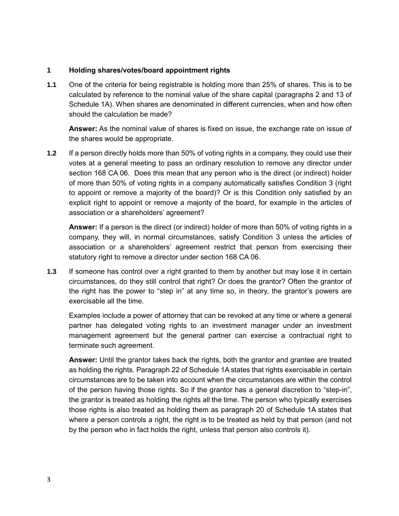#### **1 Holding shares/votes/board appointment rights**

**1.1** One of the criteria for being registrable is holding more than 25% of shares. This is to be calculated by reference to the nominal value of the share capital (paragraphs 2 and 13 of Schedule 1A). When shares are denominated in different currencies, when and how often should the calculation be made?

**Answer:** As the nominal value of shares is fixed on issue, the exchange rate on issue of the shares would be appropriate.

**1.2** If a person directly holds more than 50% of voting rights in a company, they could use their votes at a general meeting to pass an ordinary resolution to remove any director under section 168 CA 06. Does this mean that any person who is the direct (or indirect) holder of more than 50% of voting rights in a company automatically satisfies Condition 3 (right to appoint or remove a majority of the board)? Or is this Condition only satisfied by an explicit right to appoint or remove a majority of the board, for example in the articles of association or a shareholders' agreement?

**Answer:** If a person is the direct (or indirect) holder of more than 50% of voting rights in a company, they will, in normal circumstances, satisfy Condition 3 unless the articles of association or a shareholders' agreement restrict that person from exercising their statutory right to remove a director under section 168 CA 06.

**1.3** If someone has control over a right granted to them by another but may lose it in certain circumstances, do they still control that right? Or does the grantor? Often the grantor of the right has the power to "step in" at any time so, in theory, the grantor's powers are exercisable all the time.

Examples include a power of attorney that can be revoked at any time or where a general partner has delegated voting rights to an investment manager under an investment management agreement but the general partner can exercise a contractual right to terminate such agreement.

**Answer:** Until the grantor takes back the rights, both the grantor and grantee are treated as holding the rights. Paragraph 22 of Schedule 1A states that rights exercisable in certain circumstances are to be taken into account when the circumstances are within the control of the person having those rights. So if the grantor has a general discretion to "step-in", the grantor is treated as holding the rights all the time. The person who typically exercises those rights is also treated as holding them as paragraph 20 of Schedule 1A states that where a person controls a right, the right is to be treated as held by that person (and not by the person who in fact holds the right, unless that person also controls it).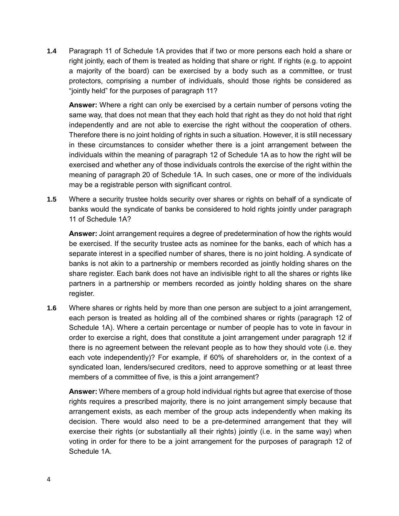**1.4** Paragraph 11 of Schedule 1A provides that if two or more persons each hold a share or right jointly, each of them is treated as holding that share or right. If rights (e.g. to appoint a majority of the board) can be exercised by a body such as a committee, or trust protectors, comprising a number of individuals, should those rights be considered as "jointly held" for the purposes of paragraph 11?

**Answer:** Where a right can only be exercised by a certain number of persons voting the same way, that does not mean that they each hold that right as they do not hold that right independently and are not able to exercise the right without the cooperation of others. Therefore there is no joint holding of rights in such a situation. However, it is still necessary in these circumstances to consider whether there is a joint arrangement between the individuals within the meaning of paragraph 12 of Schedule 1A as to how the right will be exercised and whether any of those individuals controls the exercise of the right within the meaning of paragraph 20 of Schedule 1A. In such cases, one or more of the individuals may be a registrable person with significant control.

**1.5** Where a security trustee holds security over shares or rights on behalf of a syndicate of banks would the syndicate of banks be considered to hold rights jointly under paragraph 11 of Schedule 1A?

**Answer:** Joint arrangement requires a degree of predetermination of how the rights would be exercised. If the security trustee acts as nominee for the banks, each of which has a separate interest in a specified number of shares, there is no joint holding. A syndicate of banks is not akin to a partnership or members recorded as jointly holding shares on the share register. Each bank does not have an indivisible right to all the shares or rights like partners in a partnership or members recorded as jointly holding shares on the share register.

**1.6** Where shares or rights held by more than one person are subject to a joint arrangement, each person is treated as holding all of the combined shares or rights (paragraph 12 of Schedule 1A). Where a certain percentage or number of people has to vote in favour in order to exercise a right, does that constitute a joint arrangement under paragraph 12 if there is no agreement between the relevant people as to how they should vote (i.e. they each vote independently)? For example, if 60% of shareholders or, in the context of a syndicated loan, lenders/secured creditors, need to approve something or at least three members of a committee of five, is this a joint arrangement?

**Answer:** Where members of a group hold individual rights but agree that exercise of those rights requires a prescribed majority, there is no joint arrangement simply because that arrangement exists, as each member of the group acts independently when making its decision. There would also need to be a pre-determined arrangement that they will exercise their rights (or substantially all their rights) jointly (i.e. in the same way) when voting in order for there to be a joint arrangement for the purposes of paragraph 12 of Schedule 1A.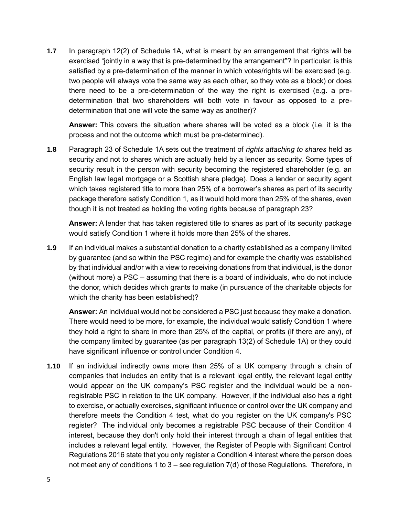**1.7** In paragraph 12(2) of Schedule 1A, what is meant by an arrangement that rights will be exercised "jointly in a way that is pre-determined by the arrangement"? In particular, is this satisfied by a pre-determination of the manner in which votes/rights will be exercised (e.g. two people will always vote the same way as each other, so they vote as a block) or does there need to be a pre-determination of the way the right is exercised (e.g. a predetermination that two shareholders will both vote in favour as opposed to a predetermination that one will vote the same way as another)?

**Answer:** This covers the situation where shares will be voted as a block (i.e. it is the process and not the outcome which must be pre-determined).

**1.8** Paragraph 23 of Schedule 1A sets out the treatment of *rights attaching to shares* held as security and not to shares which are actually held by a lender as security. Some types of security result in the person with security becoming the registered shareholder (e.g. an English law legal mortgage or a Scottish share pledge). Does a lender or security agent which takes registered title to more than 25% of a borrower's shares as part of its security package therefore satisfy Condition 1, as it would hold more than 25% of the shares, even though it is not treated as holding the voting rights because of paragraph 23?

**Answer:** A lender that has taken registered title to shares as part of its security package would satisfy Condition 1 where it holds more than 25% of the shares.

**1.9** If an individual makes a substantial donation to a charity established as a company limited by guarantee (and so within the PSC regime) and for example the charity was established by that individual and/or with a view to receiving donations from that individual, is the donor (without more) a PSC – assuming that there is a board of individuals, who do not include the donor, which decides which grants to make (in pursuance of the charitable objects for which the charity has been established)?

**Answer:** An individual would not be considered a PSC just because they make a donation. There would need to be more, for example, the individual would satisfy Condition 1 where they hold a right to share in more than 25% of the capital, or profits (if there are any), of the company limited by guarantee (as per paragraph 13(2) of Schedule 1A) or they could have significant influence or control under Condition 4.

**1.10** If an individual indirectly owns more than 25% of a UK company through a chain of companies that includes an entity that is a relevant legal entity, the relevant legal entity would appear on the UK company's PSC register and the individual would be a nonregistrable PSC in relation to the UK company. However, if the individual also has a right to exercise, or actually exercises, significant influence or control over the UK company and therefore meets the Condition 4 test, what do you register on the UK company's PSC register? The individual only becomes a registrable PSC because of their Condition 4 interest, because they don't only hold their interest through a chain of legal entities that includes a relevant legal entity. However, the Register of People with Significant Control Regulations 2016 state that you only register a Condition 4 interest where the person does not meet any of conditions 1 to 3 – see regulation 7(d) of those Regulations. Therefore, in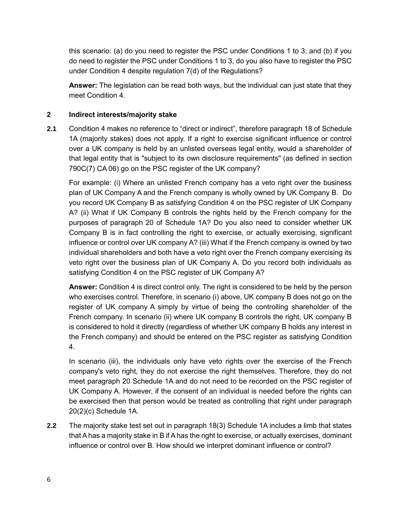this scenario: (a) do you need to register the PSC under Conditions 1 to 3; and (b) if you do need to register the PSC under Conditions 1 to 3, do you also have to register the PSC under Condition 4 despite regulation 7(d) of the Regulations?

**Answer:** The legislation can be read both ways, but the individual can just state that they meet Condition 4.

## **2 Indirect interests/majority stake**

**2.1** Condition 4 makes no reference to "direct or indirect", therefore paragraph 18 of Schedule 1A (majority stakes) does not apply. If a right to exercise significant influence or control over a UK company is held by an unlisted overseas legal entity, would a shareholder of that legal entity that is "subject to its own disclosure requirements" (as defined in section 790C(7) CA 06) go on the PSC register of the UK company?

For example: (i) Where an unlisted French company has a veto right over the business plan of UK Company A and the French company is wholly owned by UK Company B. Do you record UK Company B as satisfying Condition 4 on the PSC register of UK Company A? (ii) What if UK Company B controls the rights held by the French company for the purposes of paragraph 20 of Schedule 1A? Do you also need to consider whether UK Company B is in fact controlling the right to exercise, or actually exercising, significant influence or control over UK company A? (iii) What if the French company is owned by two individual shareholders and both have a veto right over the French company exercising its veto right over the business plan of UK Company A. Do you record both individuals as satisfying Condition 4 on the PSC register of UK Company A?

**Answer:** Condition 4 is direct control only. The right is considered to be held by the person who exercises control. Therefore, in scenario (i) above, UK company B does not go on the register of UK company A simply by virtue of being the controlling shareholder of the French company. In scenario (ii) where UK company B controls the right, UK company B is considered to hold it directly (regardless of whether UK company B holds any interest in the French company) and should be entered on the PSC register as satisfying Condition 4.

In scenario (iii), the individuals only have veto rights over the exercise of the French company's veto right, they do not exercise the right themselves. Therefore, they do not meet paragraph 20 Schedule 1A and do not need to be recorded on the PSC register of UK Company A. However, if the consent of an individual is needed before the rights can be exercised then that person would be treated as controlling that right under paragraph 20(2)(c) Schedule 1A.

**2.2** The majority stake test set out in paragraph 18(3) Schedule 1A includes a limb that states that A has a majority stake in B if A has the right to exercise, or actually exercises, dominant influence or control over B. How should we interpret dominant influence or control?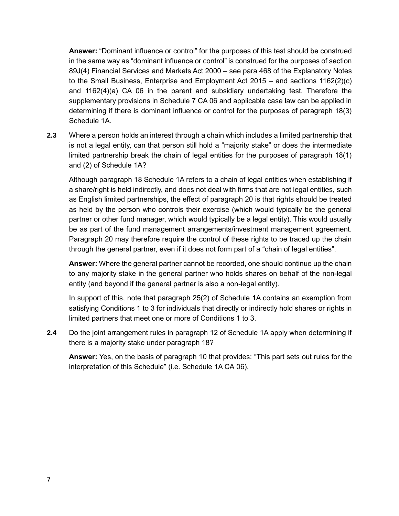**Answer:** "Dominant influence or control" for the purposes of this test should be construed in the same way as "dominant influence or control" is construed for the purposes of section 89J(4) Financial Services and Markets Act 2000 – see para 468 of the Explanatory Notes to the Small Business, Enterprise and Employment Act 2015 – and sections 1162(2)(c) and 1162(4)(a) CA 06 in the parent and subsidiary undertaking test. Therefore the supplementary provisions in Schedule 7 CA 06 and applicable case law can be applied in determining if there is dominant influence or control for the purposes of paragraph 18(3) Schedule 1A.

**2.3** Where a person holds an interest through a chain which includes a limited partnership that is not a legal entity, can that person still hold a "majority stake" or does the intermediate limited partnership break the chain of legal entities for the purposes of paragraph 18(1) and (2) of Schedule 1A?

Although paragraph 18 Schedule 1A refers to a chain of legal entities when establishing if a share/right is held indirectly, and does not deal with firms that are not legal entities, such as English limited partnerships, the effect of paragraph 20 is that rights should be treated as held by the person who controls their exercise (which would typically be the general partner or other fund manager, which would typically be a legal entity). This would usually be as part of the fund management arrangements/investment management agreement. Paragraph 20 may therefore require the control of these rights to be traced up the chain through the general partner, even if it does not form part of a "chain of legal entities".

**Answer:** Where the general partner cannot be recorded, one should continue up the chain to any majority stake in the general partner who holds shares on behalf of the non-legal entity (and beyond if the general partner is also a non-legal entity).

In support of this, note that paragraph 25(2) of Schedule 1A contains an exemption from satisfying Conditions 1 to 3 for individuals that directly or indirectly hold shares or rights in limited partners that meet one or more of Conditions 1 to 3.

**2.4** Do the joint arrangement rules in paragraph 12 of Schedule 1A apply when determining if there is a majority stake under paragraph 18?

**Answer:** Yes, on the basis of paragraph 10 that provides: "This part sets out rules for the interpretation of this Schedule" (i.e. Schedule 1A CA 06).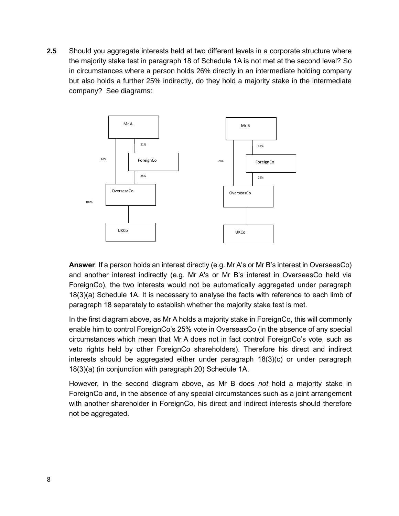**2.5** Should you aggregate interests held at two different levels in a corporate structure where the majority stake test in paragraph 18 of Schedule 1A is not met at the second level? So in circumstances where a person holds 26% directly in an intermediate holding company but also holds a further 25% indirectly, do they hold a majority stake in the intermediate company? See diagrams:



**Answer**: If a person holds an interest directly (e.g. Mr A's or Mr B's interest in OverseasCo) and another interest indirectly (e.g. Mr A's or Mr B's interest in OverseasCo held via ForeignCo), the two interests would not be automatically aggregated under paragraph 18(3)(a) Schedule 1A. It is necessary to analyse the facts with reference to each limb of paragraph 18 separately to establish whether the majority stake test is met.

In the first diagram above, as Mr A holds a majority stake in ForeignCo, this will commonly enable him to control ForeignCo's 25% vote in OverseasCo (in the absence of any special circumstances which mean that Mr A does not in fact control ForeignCo's vote, such as veto rights held by other ForeignCo shareholders). Therefore his direct and indirect interests should be aggregated either under paragraph 18(3)(c) or under paragraph 18(3)(a) (in conjunction with paragraph 20) Schedule 1A.

However, in the second diagram above, as Mr B does *not* hold a majority stake in ForeignCo and, in the absence of any special circumstances such as a joint arrangement with another shareholder in ForeignCo, his direct and indirect interests should therefore not be aggregated.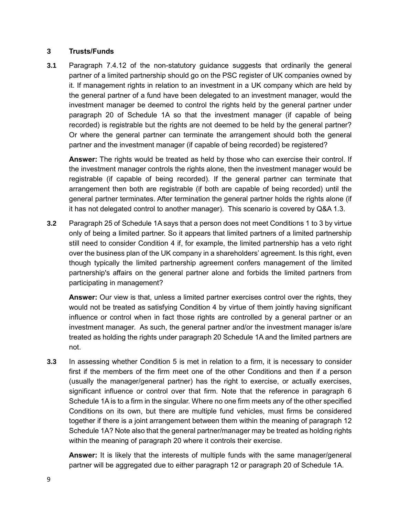#### **3 Trusts/Funds**

**3.1** Paragraph 7.4.12 of the non-statutory guidance suggests that ordinarily the general partner of a limited partnership should go on the PSC register of UK companies owned by it. If management rights in relation to an investment in a UK company which are held by the general partner of a fund have been delegated to an investment manager, would the investment manager be deemed to control the rights held by the general partner under paragraph 20 of Schedule 1A so that the investment manager (if capable of being recorded) is registrable but the rights are not deemed to be held by the general partner? Or where the general partner can terminate the arrangement should both the general partner and the investment manager (if capable of being recorded) be registered?

**Answer:** The rights would be treated as held by those who can exercise their control. If the investment manager controls the rights alone, then the investment manager would be registrable (if capable of being recorded). If the general partner can terminate that arrangement then both are registrable (if both are capable of being recorded) until the general partner terminates. After termination the general partner holds the rights alone (if it has not delegated control to another manager). This scenario is covered by Q&A 1.3.

**3.2** Paragraph 25 of Schedule 1A says that a person does not meet Conditions 1 to 3 by virtue only of being a limited partner. So it appears that limited partners of a limited partnership still need to consider Condition 4 if, for example, the limited partnership has a veto right over the business plan of the UK company in a shareholders' agreement. Is this right, even though typically the limited partnership agreement confers management of the limited partnership's affairs on the general partner alone and forbids the limited partners from participating in management?

**Answer:** Our view is that, unless a limited partner exercises control over the rights, they would not be treated as satisfying Condition 4 by virtue of them jointly having significant influence or control when in fact those rights are controlled by a general partner or an investment manager. As such, the general partner and/or the investment manager is/are treated as holding the rights under paragraph 20 Schedule 1A and the limited partners are not.

**3.3** In assessing whether Condition 5 is met in relation to a firm, it is necessary to consider first if the members of the firm meet one of the other Conditions and then if a person (usually the manager/general partner) has the right to exercise, or actually exercises, significant influence or control over that firm. Note that the reference in paragraph 6 Schedule 1A is to a firm in the singular. Where no one firm meets any of the other specified Conditions on its own, but there are multiple fund vehicles, must firms be considered together if there is a joint arrangement between them within the meaning of paragraph 12 Schedule 1A? Note also that the general partner/manager may be treated as holding rights within the meaning of paragraph 20 where it controls their exercise.

**Answer:** It is likely that the interests of multiple funds with the same manager/general partner will be aggregated due to either paragraph 12 or paragraph 20 of Schedule 1A.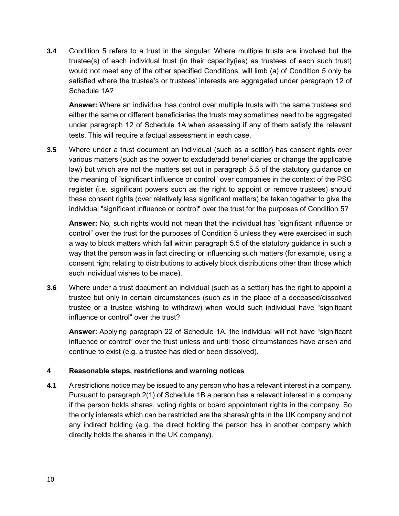**3.4** Condition 5 refers to a trust in the singular. Where multiple trusts are involved but the trustee(s) of each individual trust (in their capacity(ies) as trustees of each such trust) would not meet any of the other specified Conditions, will limb (a) of Condition 5 only be satisfied where the trustee's or trustees' interests are aggregated under paragraph 12 of Schedule 1A?

**Answer:** Where an individual has control over multiple trusts with the same trustees and either the same or different beneficiaries the trusts may sometimes need to be aggregated under paragraph 12 of Schedule 1A when assessing if any of them satisfy the relevant tests. This will require a factual assessment in each case.

**3.5** Where under a trust document an individual (such as a settlor) has consent rights over various matters (such as the power to exclude/add beneficiaries or change the applicable law) but which are not the matters set out in paragraph 5.5 of the statutory guidance on the meaning of "significant influence or control" over companies in the context of the PSC register (i.e. significant powers such as the right to appoint or remove trustees) should these consent rights (over relatively less significant matters) be taken together to give the individual "significant influence or control" over the trust for the purposes of Condition 5?

**Answer:** No, such rights would not mean that the individual has "significant influence or control" over the trust for the purposes of Condition 5 unless they were exercised in such a way to block matters which fall within paragraph 5.5 of the statutory guidance in such a way that the person was in fact directing or influencing such matters (for example, using a consent right relating to distributions to actively block distributions other than those which such individual wishes to be made).

**3.6** Where under a trust document an individual (such as a settlor) has the right to appoint a trustee but only in certain circumstances (such as in the place of a deceased/dissolved trustee or a trustee wishing to withdraw) when would such individual have "significant influence or control" over the trust?

**Answer:** Applying paragraph 22 of Schedule 1A, the individual will not have "significant influence or control" over the trust unless and until those circumstances have arisen and continue to exist (e.g. a trustee has died or been dissolved).

## **4 Reasonable steps, restrictions and warning notices**

**4.1** A restrictions notice may be issued to any person who has a relevant interest in a company. Pursuant to paragraph 2(1) of Schedule 1B a person has a relevant interest in a company if the person holds shares, voting rights or board appointment rights in the company. So the only interests which can be restricted are the shares/rights in the UK company and not any indirect holding (e.g. the direct holding the person has in another company which directly holds the shares in the UK company).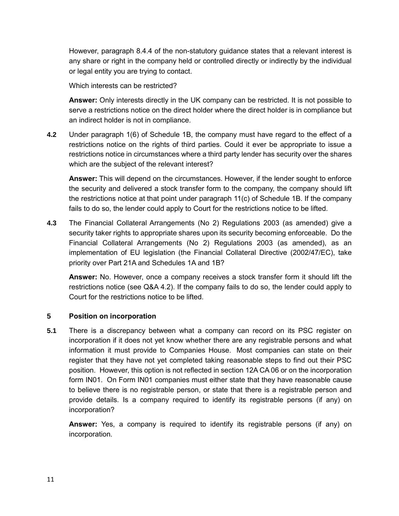However, paragraph 8.4.4 of the non-statutory guidance states that a relevant interest is any share or right in the company held or controlled directly or indirectly by the individual or legal entity you are trying to contact.

Which interests can be restricted?

**Answer:** Only interests directly in the UK company can be restricted. It is not possible to serve a restrictions notice on the direct holder where the direct holder is in compliance but an indirect holder is not in compliance.

**4.2** Under paragraph 1(6) of Schedule 1B, the company must have regard to the effect of a restrictions notice on the rights of third parties. Could it ever be appropriate to issue a restrictions notice in circumstances where a third party lender has security over the shares which are the subject of the relevant interest?

**Answer:** This will depend on the circumstances. However, if the lender sought to enforce the security and delivered a stock transfer form to the company, the company should lift the restrictions notice at that point under paragraph 11(c) of Schedule 1B. If the company fails to do so, the lender could apply to Court for the restrictions notice to be lifted.

**4.3** The Financial Collateral Arrangements (No 2) Regulations 2003 (as amended) give a security taker rights to appropriate shares upon its security becoming enforceable. Do the Financial Collateral Arrangements (No 2) Regulations 2003 (as amended), as an implementation of EU legislation (the Financial Collateral Directive (2002/47/EC), take priority over Part 21A and Schedules 1A and 1B?

**Answer:** No. However, once a company receives a stock transfer form it should lift the restrictions notice (see Q&A 4.2). If the company fails to do so, the lender could apply to Court for the restrictions notice to be lifted.

## **5 Position on incorporation**

**5.1** There is a discrepancy between what a company can record on its PSC register on incorporation if it does not yet know whether there are any registrable persons and what information it must provide to Companies House. Most companies can state on their register that they have not yet completed taking reasonable steps to find out their PSC position. However, this option is not reflected in section 12A CA 06 or on the incorporation form IN01. On Form IN01 companies must either state that they have reasonable cause to believe there is no registrable person, or state that there is a registrable person and provide details. Is a company required to identify its registrable persons (if any) on incorporation?

**Answer:** Yes, a company is required to identify its registrable persons (if any) on incorporation.